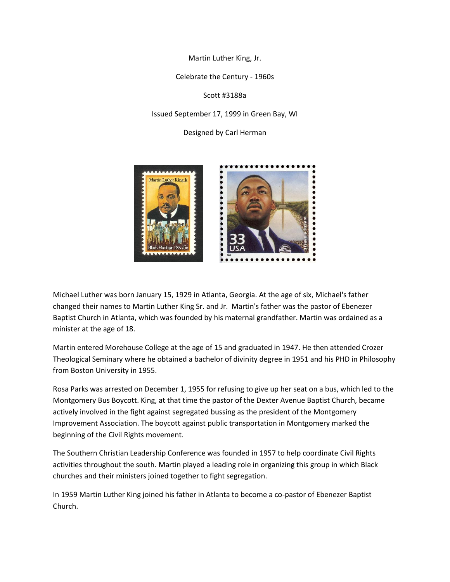Martin Luther King, Jr.

Celebrate the Century - 1960s

Scott #3188a

Issued September 17, 1999 in Green Bay, WI

Designed by Carl Herman



Michael Luther was born January 15, 1929 in Atlanta, Georgia. At the age of six, Michael's father changed their names to Martin Luther King Sr. and Jr. Martin's father was the pastor of Ebenezer Baptist Church in Atlanta, which was founded by his maternal grandfather. Martin was ordained as a minister at the age of 18.

Martin entered Morehouse College at the age of 15 and graduated in 1947. He then attended Crozer Theological Seminary where he obtained a bachelor of divinity degree in 1951 and his PHD in Philosophy from Boston University in 1955.

Rosa Parks was arrested on December 1, 1955 for refusing to give up her seat on a bus, which led to the Montgomery Bus Boycott. King, at that time the pastor of the Dexter Avenue Baptist Church, became actively involved in the fight against segregated bussing as the president of the Montgomery Improvement Association. The boycott against public transportation in Montgomery marked the beginning of the Civil Rights movement.

The Southern Christian Leadership Conference was founded in 1957 to help coordinate Civil Rights activities throughout the south. Martin played a leading role in organizing this group in which Black churches and their ministers joined together to fight segregation.

In 1959 Martin Luther King joined his father in Atlanta to become a co-pastor of Ebenezer Baptist Church.